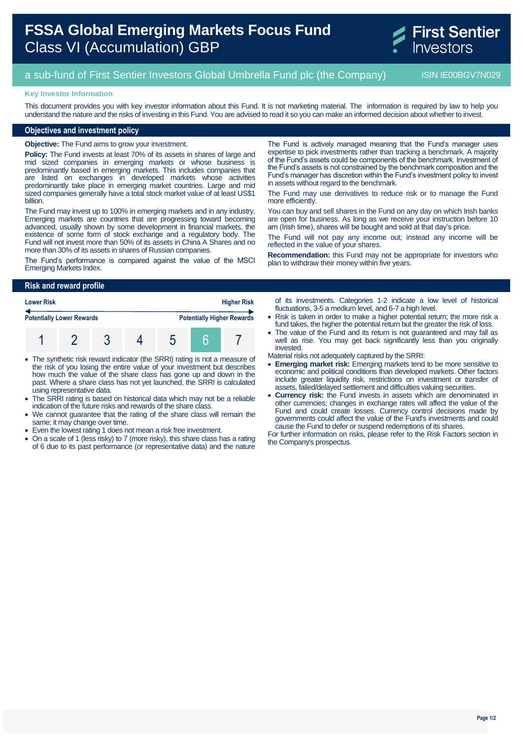# **FSSA Global Emerging Markets Focus Fund** Class VI (Accumulation) GBP



## a sub-fund of First Sentier Investors Global Umbrella Fund plc (the Company) ISIN IE00BGV7N029

#### **Key Investor Information**

This document provides you with key investor information about this Fund. It is not marketing material. The information is required by law to help you understand the nature and the risks of investing in this Fund. You are advised to read it so you can make an informed decision about whether to invest.

#### **Objectives and investment policy**

**Objective:** The Fund aims to grow your investment.

**Policy:** The Fund invests at least 70% of its assets in shares of large and mid sized companies in emerging markets or whose business is predominantly based in emerging markets. This includes companies that are listed on exchanges in developed markets whose activities predominantly take place in emerging market countries. Large and mid sized companies generally have a total stock market value of at least US\$1 billion.

The Fund may invest up to 100% in emerging markets and in any industry. Emerging markets are countries that are progressing toward becoming advanced, usually shown by some development in financial markets, the existence of some form of stock exchange and a regulatory body. The Fund will not invest more than 50% of its assets in China A Shares and no more than 30% of its assets in shares of Russian companies.

The Fund's performance is compared against the value of the MSCI Emerging Markets Index.

The Fund is actively managed meaning that the Fund's manager uses expertise to pick investments rather than tracking a benchmark. A majority of the Fund's assets could be components of the benchmark. Investment of the Fund's assets is not constrained by the benchmark composition and the Fund's manager has discretion within the Fund's investment policy to invest in assets without regard to the benchmark.

The Fund may use derivatives to reduce risk or to manage the Fund more efficiently.

You can buy and sell shares in the Fund on any day on which Irish banks are open for business. As long as we receive your instruction before 10 am (Irish time), shares will be bought and sold at that day's price.

The Fund will not pay any income out; instead any income will be reflected in the value of your shares.

**Recommendation:** this Fund may not be appropriate for investors who plan to withdraw their money within five years.

#### **Risk and reward profile**

| <b>Lower Risk</b>                |  |  |  | <b>Higher Risk</b> |  |                                   |
|----------------------------------|--|--|--|--------------------|--|-----------------------------------|
| <b>Potentially Lower Rewards</b> |  |  |  |                    |  | <b>Potentially Higher Rewards</b> |
|                                  |  |  |  |                    |  |                                   |

- The synthetic risk reward indicator (the SRRI) rating is not a measure of the risk of you losing the entire value of your investment but describes how much the value of the share class has gone up and down in the past. Where a share class has not yet launched, the SRRI is calculated using representative data.
- The SRRI rating is based on historical data which may not be a reliable indication of the future risks and rewards of the share class.
- We cannot guarantee that the rating of the share class will remain the same; it may change over time.
- Even the lowest rating 1 does not mean a risk free investment.
- On a scale of 1 (less risky) to 7 (more risky), this share class has a rating of 6 due to its past performance (or representative data) and the nature

of its investments. Categories 1-2 indicate a low level of historical fluctuations, 3-5 a medium level, and 6-7 a high level.

- Risk is taken in order to make a higher potential return; the more risk a fund takes, the higher the potential return but the greater the risk of loss.
- The value of the Fund and its return is not guaranteed and may fall as well as rise. You may get back significantly less than you originally invested.

Material risks not adequately captured by the SRRI:

- **Emerging market risk:** Emerging markets tend to be more sensitive to economic and political conditions than developed markets. Other factors include greater liquidity risk, restrictions on investment or transfer of assets, failed/delayed settlement and difficulties valuing securities.
- **Currency risk:** the Fund invests in assets which are denominated in other currencies; changes in exchange rates will affect the value of the Fund and could create losses. Currency control decisions made by governments could affect the value of the Fund's investments and could cause the Fund to defer or suspend redemptions of its shares.

For further information on risks, please refer to the Risk Factors section in the Company's prospectus.